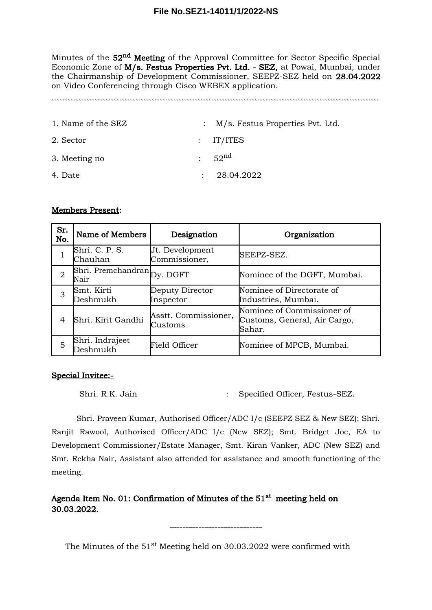Minutes of the 52<sup>nd</sup> Meeting of the Approval Committee for Sector Specific Special Economic Zone of M/s. Festus Properties Pvt. Ltd. - SEZ, at Powai, Mumbai, under the Chairmanship of Development Commissioner, SEEPZ-SEZ held on 28.04.2022 on Video Conferencing through Cisco WEBEX application.

`````````````````````````````````````````````````````````````````````````````````````````````````````````````````````````

| 1. Name of the SEZ | : M/s. Festus Properties Pvt. Ltd. |
|--------------------|------------------------------------|
| 2. Sector          | $:$ IT/ITES                        |
| 3. Meeting no      | 52 <sup>nd</sup>                   |
| 4. Date            | 28.04.2022                         |

### Members Present:

| Sr.<br>No.     | Name of Members                     | Designation                      | Organization                                                         |
|----------------|-------------------------------------|----------------------------------|----------------------------------------------------------------------|
|                | Shri. C. P. S.<br>Chauhan           | Ut. Development<br>Commissioner, | SEEPZ-SEZ.                                                           |
| $\overline{2}$ | Shri. Premchandran Dy. DGFT<br>Nair |                                  | Nominee of the DGFT, Mumbai.                                         |
| 3              | Smt. Kirti<br>Deshmukh              | Deputy Director<br>Inspector     | Nominee of Directorate of<br>Industries, Mumbai.                     |
| 4              | Shri. Kirit Gandhi                  | Asstt. Commissioner,<br>Customs  | Nominee of Commissioner of<br>Customs, General, Air Cargo,<br>Sahar. |
| 5              | Shri. Indrajeet<br>Deshmukh         | Field Officer                    | Nominee of MPCB, Mumbai.                                             |

### Special Invitee:-

Shri. R.K. Jain : Specified Officer, Festus-SEZ.

Shri. Praveen Kumar, Authorised Officer/ADC I/c (SEEPZ SEZ & New SEZ); Shri. Ranjit Rawool, Authorised Officer/ADC I/c (New SEZ); Smt. Bridget Joe, EA to Development Commissioner/Estate Manager, Smt. Kiran Vanker, ADC (New SEZ) and Smt. Rekha Nair, Assistant also attended for assistance and smooth functioning of the meeting.

# Agenda Item No. 01: Confirmation of Minutes of the 51<sup>st</sup> meeting held on 30.03.2022.

The Minutes of the 51<sup>st</sup> Meeting held on 30.03.2022 were confirmed with

-----------------------------